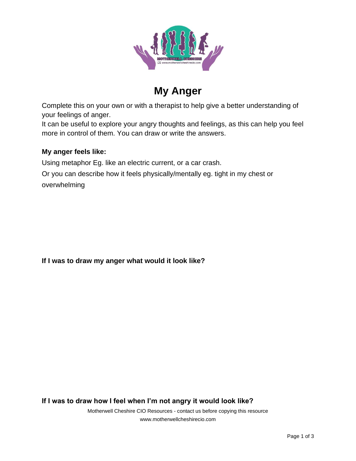

# **My Anger**

Complete this on your own or with a therapist to help give a better understanding of your feelings of anger.

It can be useful to explore your angry thoughts and feelings, as this can help you feel more in control of them. You can draw or write the answers.

### **My anger feels like:**

Using metaphor Eg. like an electric current, or a car crash.

Or you can describe how it feels physically/mentally eg. tight in my chest or overwhelming

**If I was to draw my anger what would it look like?**

**If I was to draw how I feel when I'm not angry it would look like?**

Motherwell Cheshire CIO Resources - contact us before copying this resource www.motherwellcheshirecio.com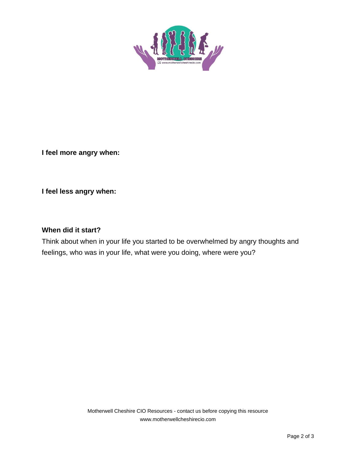

**I feel more angry when:**

**I feel less angry when:**

#### **When did it start?**

Think about when in your life you started to be overwhelmed by angry thoughts and feelings, who was in your life, what were you doing, where were you?